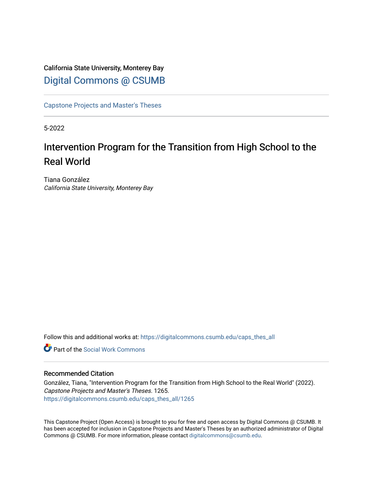## California State University, Monterey Bay [Digital Commons @ CSUMB](https://digitalcommons.csumb.edu/)

[Capstone Projects and Master's Theses](https://digitalcommons.csumb.edu/caps_thes_all)

5-2022

# Intervention Program for the Transition from High School to the Real World

Tiana González California State University, Monterey Bay

Follow this and additional works at: [https://digitalcommons.csumb.edu/caps\\_thes\\_all](https://digitalcommons.csumb.edu/caps_thes_all?utm_source=digitalcommons.csumb.edu%2Fcaps_thes_all%2F1265&utm_medium=PDF&utm_campaign=PDFCoverPages)

**C** Part of the [Social Work Commons](https://network.bepress.com/hgg/discipline/713?utm_source=digitalcommons.csumb.edu%2Fcaps_thes_all%2F1265&utm_medium=PDF&utm_campaign=PDFCoverPages)

#### Recommended Citation

González, Tiana, "Intervention Program for the Transition from High School to the Real World" (2022). Capstone Projects and Master's Theses. 1265. [https://digitalcommons.csumb.edu/caps\\_thes\\_all/1265](https://digitalcommons.csumb.edu/caps_thes_all/1265?utm_source=digitalcommons.csumb.edu%2Fcaps_thes_all%2F1265&utm_medium=PDF&utm_campaign=PDFCoverPages) 

This Capstone Project (Open Access) is brought to you for free and open access by Digital Commons @ CSUMB. It has been accepted for inclusion in Capstone Projects and Master's Theses by an authorized administrator of Digital Commons @ CSUMB. For more information, please contact [digitalcommons@csumb.edu](mailto:digitalcommons@csumb.edu).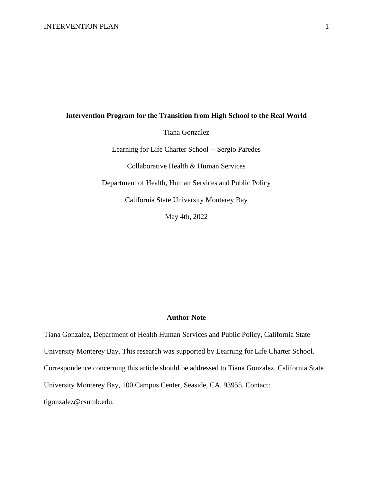#### **Intervention Program for the Transition from High School to the Real World**

Tiana Gonzalez

Learning for Life Charter School -- Sergio Paredes

Collaborative Health & Human Services

Department of Health, Human Services and Public Policy

California State University Monterey Bay

May 4th, 2022

#### **Author Note**

Tiana Gonzalez, Department of Health Human Services and Public Policy, California State University Monterey Bay. This research was supported by Learning for Life Charter School. Correspondence concerning this article should be addressed to Tiana Gonzalez, California State University Monterey Bay, 100 Campus Center, Seaside, CA, 93955. Contact: tigonzalez@csumb.edu.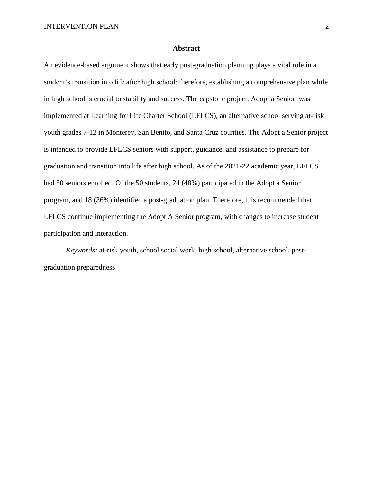#### **Abstract**

An evidence-based argument shows that early post-graduation planning plays a vital role in a student's transition into life after high school; therefore, establishing a comprehensive plan while in high school is crucial to stability and success. The capstone project, Adopt a Senior, was implemented at Learning for Life Charter School (LFLCS), an alternative school serving at-risk youth grades 7-12 in Monterey, San Benito, and Santa Cruz counties. The Adopt a Senior project is intended to provide LFLCS seniors with support, guidance, and assistance to prepare for graduation and transition into life after high school. As of the 2021-22 academic year, LFLCS had 50 seniors enrolled. Of the 50 students, 24 (48%) participated in the Adopt a Senior program, and 18 (36%) identified a post-graduation plan. Therefore, it is recommended that LFLCS continue implementing the Adopt A Senior program, with changes to increase student participation and interaction.

*Keywords:* at-risk youth, school social work, high school, alternative school, postgraduation preparedness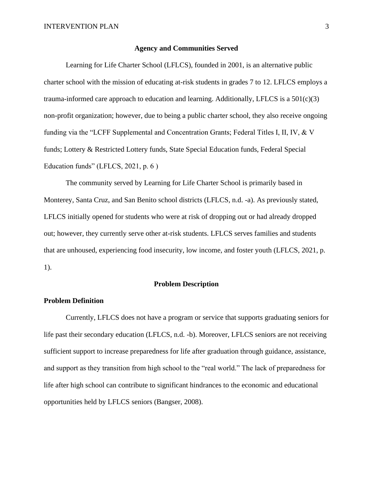#### **Agency and Communities Served**

Learning for Life Charter School (LFLCS), founded in 2001, is an alternative public charter school with the mission of educating at-risk students in grades 7 to 12. LFLCS employs a trauma-informed care approach to education and learning. Additionally, LFLCS is a  $501(c)(3)$ non-profit organization; however, due to being a public charter school, they also receive ongoing funding via the "LCFF Supplemental and Concentration Grants; Federal Titles I, II, IV, & V funds; Lottery & Restricted Lottery funds, State Special Education funds, Federal Special Education funds" (LFLCS, 2021, p. 6 )

The community served by Learning for Life Charter School is primarily based in Monterey, Santa Cruz, and San Benito school districts (LFLCS, n.d. -a). As previously stated, LFLCS initially opened for students who were at risk of dropping out or had already dropped out; however, they currently serve other at-risk students. LFLCS serves families and students that are unhoused, experiencing food insecurity, low income, and foster youth (LFLCS, 2021, p. 1).

#### **Problem Description**

#### **Problem Definition**

Currently, LFLCS does not have a program or service that supports graduating seniors for life past their secondary education (LFLCS, n.d. -b). Moreover, LFLCS seniors are not receiving sufficient support to increase preparedness for life after graduation through guidance, assistance, and support as they transition from high school to the "real world." The lack of preparedness for life after high school can contribute to significant hindrances to the economic and educational opportunities held by LFLCS seniors (Bangser, 2008).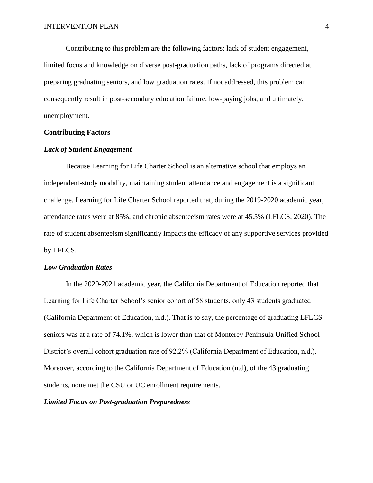Contributing to this problem are the following factors: lack of student engagement, limited focus and knowledge on diverse post-graduation paths, lack of programs directed at preparing graduating seniors, and low graduation rates. If not addressed, this problem can consequently result in post-secondary education failure, low-paying jobs, and ultimately, unemployment.

#### **Contributing Factors**

#### *Lack of Student Engagement*

Because Learning for Life Charter School is an alternative school that employs an independent-study modality, maintaining student attendance and engagement is a significant challenge. Learning for Life Charter School reported that, during the 2019-2020 academic year, attendance rates were at 85%, and chronic absenteeism rates were at 45.5% (LFLCS, 2020). The rate of student absenteeism significantly impacts the efficacy of any supportive services provided by LFLCS.

#### *Low Graduation Rates*

In the 2020-2021 academic year, the California Department of Education reported that Learning for Life Charter School's senior cohort of 58 students, only 43 students graduated (California Department of Education, n.d.). That is to say, the percentage of graduating LFLCS seniors was at a rate of 74.1%, which is lower than that of Monterey Peninsula Unified School District's overall cohort graduation rate of 92.2% (California Department of Education, n.d.). Moreover, according to the California Department of Education (n.d), of the 43 graduating students, none met the CSU or UC enrollment requirements.

#### *Limited Focus on Post-graduation Preparedness*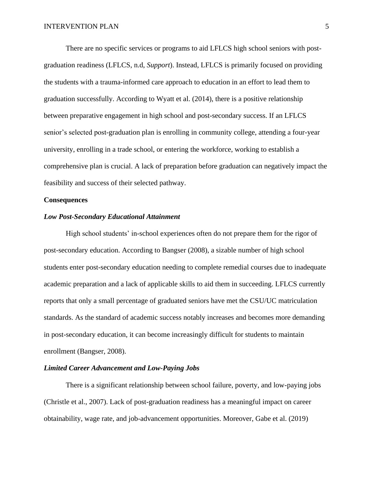There are no specific services or programs to aid LFLCS high school seniors with postgraduation readiness (LFLCS, n.d, *Support*). Instead, LFLCS is primarily focused on providing the students with a trauma-informed care approach to education in an effort to lead them to graduation successfully. According to Wyatt et al. (2014), there is a positive relationship between preparative engagement in high school and post-secondary success. If an LFLCS senior's selected post-graduation plan is enrolling in community college, attending a four-year university, enrolling in a trade school, or entering the workforce, working to establish a comprehensive plan is crucial. A lack of preparation before graduation can negatively impact the feasibility and success of their selected pathway.

#### **Consequences**

#### *Low Post-Secondary Educational Attainment*

High school students' in-school experiences often do not prepare them for the rigor of post-secondary education. According to Bangser (2008), a sizable number of high school students enter post-secondary education needing to complete remedial courses due to inadequate academic preparation and a lack of applicable skills to aid them in succeeding. LFLCS currently reports that only a small percentage of graduated seniors have met the CSU/UC matriculation standards. As the standard of academic success notably increases and becomes more demanding in post-secondary education, it can become increasingly difficult for students to maintain enrollment (Bangser, 2008).

#### *Limited Career Advancement and Low-Paying Jobs*

There is a significant relationship between school failure, poverty, and low-paying jobs (Christle et al., 2007). Lack of post-graduation readiness has a meaningful impact on career obtainability, wage rate, and job-advancement opportunities. Moreover, Gabe et al. (2019)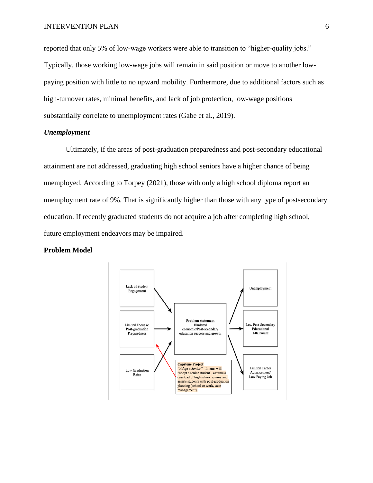reported that only 5% of low-wage workers were able to transition to "higher-quality jobs." Typically, those working low-wage jobs will remain in said position or move to another lowpaying position with little to no upward mobility. Furthermore, due to additional factors such as high-turnover rates, minimal benefits, and lack of job protection, low-wage positions substantially correlate to unemployment rates (Gabe et al., 2019).

#### *Unemployment*

Ultimately, if the areas of post-graduation preparedness and post-secondary educational attainment are not addressed, graduating high school seniors have a higher chance of being unemployed. According to Torpey (2021), those with only a high school diploma report an unemployment rate of 9%. That is significantly higher than those with any type of postsecondary education. If recently graduated students do not acquire a job after completing high school, future employment endeavors may be impaired.

#### **Problem Model**

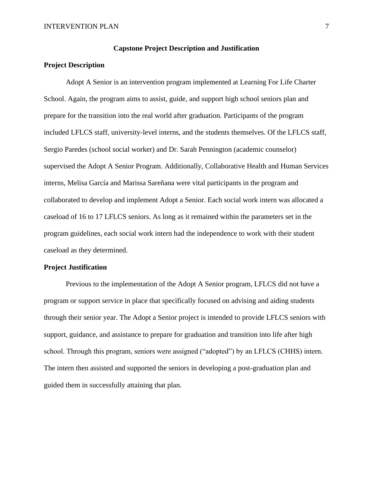#### **Capstone Project Description and Justification**

#### **Project Description**

Adopt A Senior is an intervention program implemented at Learning For Life Charter School. Again, the program aims to assist, guide, and support high school seniors plan and prepare for the transition into the real world after graduation. Participants of the program included LFLCS staff, university-level interns, and the students themselves. Of the LFLCS staff, Sergio Paredes (school social worker) and Dr. Sarah Pennington (academic counselor) supervised the Adopt A Senior Program. Additionally, Collaborative Health and Human Services interns, Melisa García and Marissa Sareñana were vital participants in the program and collaborated to develop and implement Adopt a Senior. Each social work intern was allocated a caseload of 16 to 17 LFLCS seniors. As long as it remained within the parameters set in the program guidelines, each social work intern had the independence to work with their student caseload as they determined.

#### **Project Justification**

Previous to the implementation of the Adopt A Senior program, LFLCS did not have a program or support service in place that specifically focused on advising and aiding students through their senior year. The Adopt a Senior project is intended to provide LFLCS seniors with support, guidance, and assistance to prepare for graduation and transition into life after high school. Through this program, seniors were assigned ("adopted") by an LFLCS (CHHS) intern. The intern then assisted and supported the seniors in developing a post-graduation plan and guided them in successfully attaining that plan.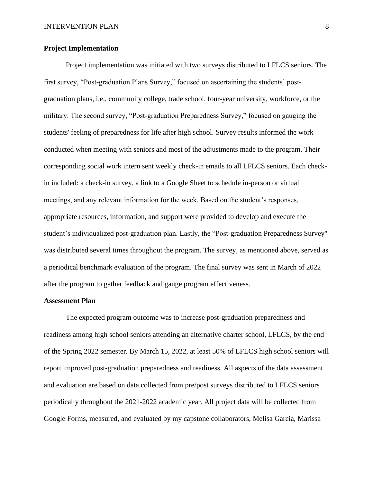#### **Project Implementation**

Project implementation was initiated with two surveys distributed to LFLCS seniors. The first survey, "Post-graduation Plans Survey," focused on ascertaining the students' postgraduation plans, i.e., community college, trade school, four-year university, workforce, or the military. The second survey, "Post-graduation Preparedness Survey," focused on gauging the students' feeling of preparedness for life after high school. Survey results informed the work conducted when meeting with seniors and most of the adjustments made to the program. Their corresponding social work intern sent weekly check-in emails to all LFLCS seniors. Each checkin included: a check-in survey, a link to a Google Sheet to schedule in-person or virtual meetings, and any relevant information for the week. Based on the student's responses, appropriate resources, information, and support were provided to develop and execute the student's individualized post-graduation plan. Lastly, the "Post-graduation Preparedness Survey'' was distributed several times throughout the program. The survey, as mentioned above, served as a periodical benchmark evaluation of the program. The final survey was sent in March of 2022 after the program to gather feedback and gauge program effectiveness.

#### **Assessment Plan**

The expected program outcome was to increase post-graduation preparedness and readiness among high school seniors attending an alternative charter school, LFLCS, by the end of the Spring 2022 semester. By March 15, 2022, at least 50% of LFLCS high school seniors will report improved post-graduation preparedness and readiness. All aspects of the data assessment and evaluation are based on data collected from pre/post surveys distributed to LFLCS seniors periodically throughout the 2021-2022 academic year. All project data will be collected from Google Forms, measured, and evaluated by my capstone collaborators, Melisa Garcia, Marissa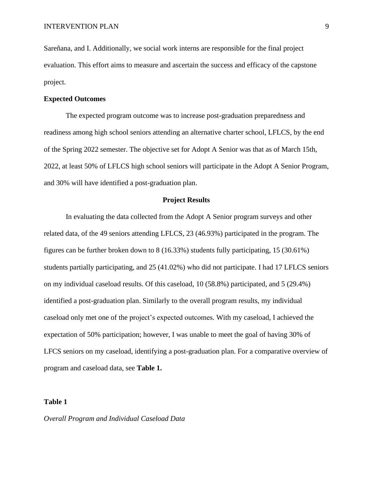Sareñana, and I. Additionally, we social work interns are responsible for the final project evaluation. This effort aims to measure and ascertain the success and efficacy of the capstone project.

#### **Expected Outcomes**

The expected program outcome was to increase post-graduation preparedness and readiness among high school seniors attending an alternative charter school, LFLCS, by the end of the Spring 2022 semester. The objective set for Adopt A Senior was that as of March 15th, 2022, at least 50% of LFLCS high school seniors will participate in the Adopt A Senior Program, and 30% will have identified a post-graduation plan.

#### **Project Results**

In evaluating the data collected from the Adopt A Senior program surveys and other related data, of the 49 seniors attending LFLCS, 23 (46.93%) participated in the program. The figures can be further broken down to 8 (16.33%) students fully participating, 15 (30.61%) students partially participating, and 25 (41.02%) who did not participate. I had 17 LFLCS seniors on my individual caseload results. Of this caseload, 10 (58.8%) participated, and 5 (29.4%) identified a post-graduation plan. Similarly to the overall program results, my individual caseload only met one of the project's expected outcomes. With my caseload, I achieved the expectation of 50% participation; however, I was unable to meet the goal of having 30% of LFCS seniors on my caseload, identifying a post-graduation plan. For a comparative overview of program and caseload data, see **Table 1.** 

#### **Table 1**

#### *Overall Program and Individual Caseload Data*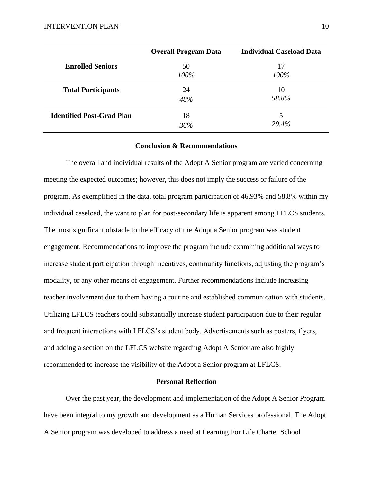|                                  | <b>Overall Program Data</b> | <b>Individual Caseload Data</b> |
|----------------------------------|-----------------------------|---------------------------------|
| <b>Enrolled Seniors</b>          | 50<br>100%                  | 17<br>100%                      |
| <b>Total Participants</b>        | 24<br>48%                   | 10<br>58.8%                     |
| <b>Identified Post-Grad Plan</b> | 18<br>36%                   | 29.4%                           |

#### **Conclusion & Recommendations**

The overall and individual results of the Adopt A Senior program are varied concerning meeting the expected outcomes; however, this does not imply the success or failure of the program. As exemplified in the data, total program participation of 46.93% and 58.8% within my individual caseload, the want to plan for post-secondary life is apparent among LFLCS students. The most significant obstacle to the efficacy of the Adopt a Senior program was student engagement. Recommendations to improve the program include examining additional ways to increase student participation through incentives, community functions, adjusting the program's modality, or any other means of engagement. Further recommendations include increasing teacher involvement due to them having a routine and established communication with students. Utilizing LFLCS teachers could substantially increase student participation due to their regular and frequent interactions with LFLCS's student body. Advertisements such as posters, flyers, and adding a section on the LFLCS website regarding Adopt A Senior are also highly recommended to increase the visibility of the Adopt a Senior program at LFLCS.

#### **Personal Reflection**

Over the past year, the development and implementation of the Adopt A Senior Program have been integral to my growth and development as a Human Services professional. The Adopt A Senior program was developed to address a need at Learning For Life Charter School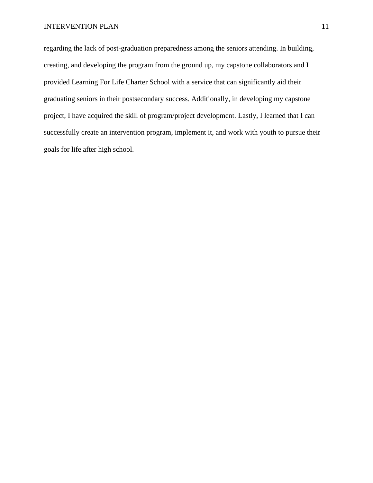regarding the lack of post-graduation preparedness among the seniors attending. In building, creating, and developing the program from the ground up, my capstone collaborators and I provided Learning For Life Charter School with a service that can significantly aid their graduating seniors in their postsecondary success. Additionally, in developing my capstone project, I have acquired the skill of program/project development. Lastly, I learned that I can successfully create an intervention program, implement it, and work with youth to pursue their goals for life after high school.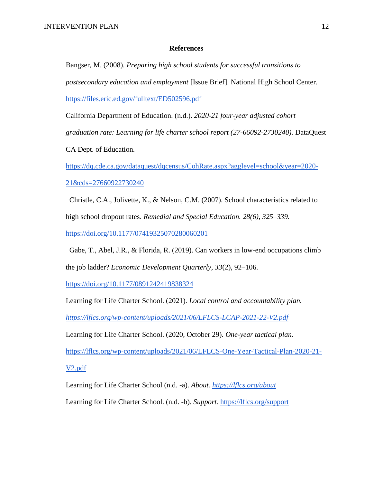#### **References**

Bangser, M. (2008). *Preparing high school students for successful transitions to postsecondary education and employment* [Issue Brief]. National High School Center. https://files.eric.ed.gov/fulltext/ED502596.pdf

California Department of Education. (n.d.). *2020-21 four-year adjusted cohort* 

*graduation rate: Learning for life charter school report (27-66092-2730240).* DataQuest

CA Dept. of Education*.* 

[https://dq.cde.ca.gov/dataquest/dqcensus/CohRate.aspx?agglevel=school&year=2020-](https://dq.cde.ca.gov/dataquest/dqcensus/CohRate.aspx?agglevel=school&year=2020-21&cds=27660922730240) [21&cds=27660922730240](https://dq.cde.ca.gov/dataquest/dqcensus/CohRate.aspx?agglevel=school&year=2020-21&cds=27660922730240)

 Christle, C.A., Jolivette, K., & Nelson, C.M. (2007). School characteristics related to high school dropout rates. *Remedial and Special Education. 28(6), 325–339.* 

<https://doi.org/10.1177/07419325070280060201>

 Gabe, T., Abel, J.R., & Florida, R. (2019). Can workers in low-end occupations climb the job ladder? *Economic Development Quarterly, 33*(2), 92–106.

<https://doi.org/10.1177/0891242419838324>

Learning for Life Charter School. (2021). *Local control and accountability plan.* 

*<https://lflcs.org/wp-content/uploads/2021/06/LFLCS-LCAP-2021-22-V2.pdf>*

Learning for Life Charter School. (2020, October 29). *One-year tactical plan.* 

[https://lflcs.org/wp-content/uploads/2021/06/LFLCS-One-Year-Tactical-Plan-2020-21-](https://lflcs.org/wp-content/uploads/2021/06/LFLCS-One-Year-Tactical-Plan-2020-21-V2.pdf)

[V2.pdf](https://lflcs.org/wp-content/uploads/2021/06/LFLCS-One-Year-Tactical-Plan-2020-21-V2.pdf)

Learning for Life Charter School (n.d. -a). *About.<https://lflcs.org/about>*

Learning for Life Charter School. (n.d. -b). *Support.* <https://lflcs.org/support>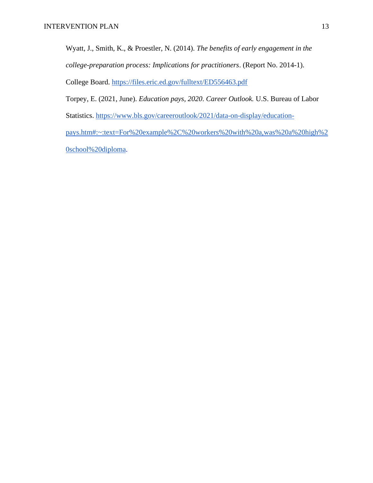Wyatt, J., Smith, K., & Proestler, N. (2014). *The benefits of early engagement in the college-preparation process: Implications for practitioners*. (Report No. 2014-1). College Board. https://files.eric.ed.gov/fulltext/ED556463.pdf

Torpey, E. (2021, June). *Education pays, 2020*. *Career Outlook.* U.S. Bureau of Labor

Statistics. [https://www.bls.gov/careeroutlook/2021/data-on-display/education-](https://www.bls.gov/careeroutlook/2021/data-on-display/education-pays.htm#:~:text=For%20example%2C%20workers%20with%20a,was%20a%20high%20school%20diploma)

[pays.htm#:~:text=For%20example%2C%20workers%20with%20a,was%20a%20high%2](https://www.bls.gov/careeroutlook/2021/data-on-display/education-pays.htm#:~:text=For%20example%2C%20workers%20with%20a,was%20a%20high%20school%20diploma) [0school%20diploma.](https://www.bls.gov/careeroutlook/2021/data-on-display/education-pays.htm#:~:text=For%20example%2C%20workers%20with%20a,was%20a%20high%20school%20diploma)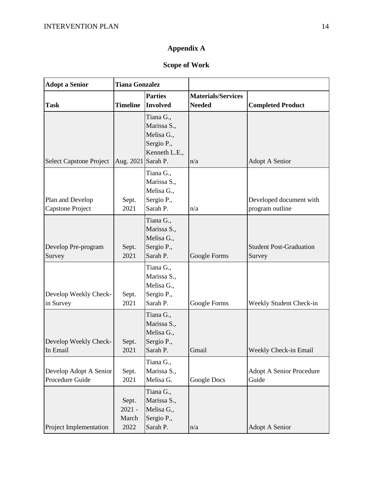## **Appendix A**

### **Scope of Work**

| <b>Adopt a Senior</b>                       | <b>Tiana Gonzalez</b>              |                                                                                   |                                            |                                            |
|---------------------------------------------|------------------------------------|-----------------------------------------------------------------------------------|--------------------------------------------|--------------------------------------------|
| <b>Task</b>                                 | <b>Timeline</b>                    | <b>Parties</b><br><b>Involved</b>                                                 | <b>Materials/Services</b><br><b>Needed</b> | <b>Completed Product</b>                   |
| Select Capstone Project                     | Aug. 2021                          | Tiana G.,<br>Marissa S.,<br>Melisa G.,<br>Sergio P.,<br>Kenneth L.E.,<br>Sarah P. | n/a                                        | <b>Adopt A Senior</b>                      |
| Plan and Develop<br><b>Capstone Project</b> | Sept.<br>2021                      | Tiana G.,<br>Marissa S.,<br>Melisa G.,<br>Sergio P.,<br>Sarah P.                  | n/a                                        | Developed document with<br>program outline |
| Develop Pre-program<br>Survey               | Sept.<br>2021                      | Tiana G.,<br>Marissa S.,<br>Melisa G.,<br>Sergio P.,<br>Sarah P.                  | Google Forms                               | <b>Student Post-Graduation</b><br>Survey   |
| Develop Weekly Check-<br>in Survey          | Sept.<br>2021                      | Tiana G.,<br>Marissa S.,<br>Melisa G.,<br>Sergio P.,<br>Sarah P.                  | Google Forms                               | Weekly Student Check-in                    |
| Develop Weekly Check-<br>In Email           | Sept.<br>2021                      | Tiana G.,<br>Marissa S.,<br>Melisa G.,<br>Sergio P.,<br>Sarah P.                  | Gmail                                      | Weekly Check-in Email                      |
| Develop Adopt A Senior<br>Procedure Guide   | Sept.<br>2021                      | Tiana G.,<br>Marissa S.,<br>Melisa G.                                             | Google Docs                                | <b>Adopt A Senior Procedure</b><br>Guide   |
| Project Implementation                      | Sept.<br>$2021 -$<br>March<br>2022 | Tiana G.,<br>Marissa S.,<br>Melisa G.,<br>Sergio P.,<br>Sarah P.                  | n/a                                        | <b>Adopt A Senior</b>                      |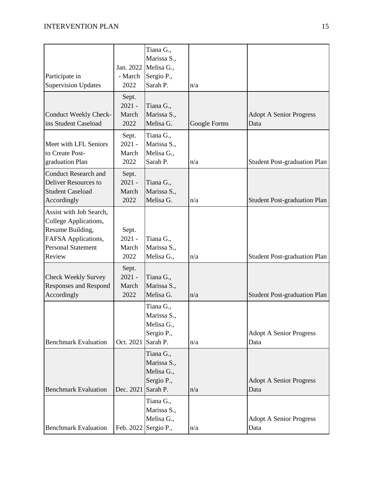| Participate in<br><b>Supervision Updates</b>                                                                                       | Jan. 2022<br>- March<br>2022       | Tiana G.,<br>Marissa S.,<br>Melisa G.,<br>Sergio P.,<br>Sarah P. | n/a          |                                        |
|------------------------------------------------------------------------------------------------------------------------------------|------------------------------------|------------------------------------------------------------------|--------------|----------------------------------------|
| Conduct Weekly Check-<br>ins Student Caseload                                                                                      | Sept.<br>$2021 -$<br>March<br>2022 | Tiana G.,<br>Marissa S.,<br>Melisa G.                            | Google Forms | <b>Adopt A Senior Progress</b><br>Data |
| Meet with LFL Seniors<br>to Create Post-<br>graduation Plan                                                                        | Sept.<br>$2021 -$<br>March<br>2022 | Tiana G.,<br>Marissa S.,<br>Melisa G.,<br>Sarah P.               | n/a          | <b>Student Post-graduation Plan</b>    |
| <b>Conduct Research and</b><br>Deliver Resources to<br><b>Student Caseload</b><br>Accordingly                                      | Sept.<br>$2021 -$<br>March<br>2022 | Tiana G.,<br>Marissa S.,<br>Melisa G.                            | n/a          | <b>Student Post-graduation Plan</b>    |
| Assist with Job Search,<br>College Applications,<br>Resume Building,<br>FAFSA Applications,<br><b>Personal Statement</b><br>Review | Sept.<br>$2021 -$<br>March<br>2022 | Tiana G.,<br>Marissa S.,<br>Melisa G.,                           | n/a          | <b>Student Post-graduation Plan</b>    |
| <b>Check Weekly Survey</b><br><b>Responses and Respond</b><br>Accordingly                                                          | Sept.<br>$2021 -$<br>March<br>2022 | Tiana G.,<br>Marissa S.,<br>Melisa G.                            | n/a          | <b>Student Post-graduation Plan</b>    |
| <b>Benchmark Evaluation</b>                                                                                                        | Oct. 2021                          | Tiana G.,<br>Marissa S.<br>Melisa G.,<br>Sergio P.,<br>Sarah P.  | n/a          | <b>Adopt A Senior Progress</b><br>Data |
| <b>Benchmark Evaluation</b>                                                                                                        | Dec. 2021                          | Tiana G.,<br>Marissa S.,<br>Melisa G.,<br>Sergio P.,<br>Sarah P. | n/a          | <b>Adopt A Senior Progress</b><br>Data |
| <b>Benchmark Evaluation</b>                                                                                                        | Feb. 2022                          | Tiana G.,<br>Marissa S.,<br>Melisa G.,<br>Sergio P.,             | n/a          | <b>Adopt A Senior Progress</b><br>Data |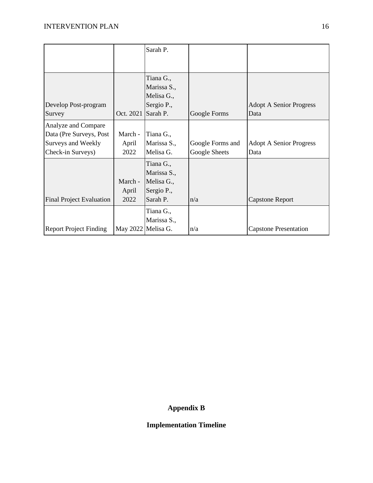|                                                                                           |                          | Sarah P.                                                         |                                   |                                        |
|-------------------------------------------------------------------------------------------|--------------------------|------------------------------------------------------------------|-----------------------------------|----------------------------------------|
|                                                                                           |                          |                                                                  |                                   |                                        |
| Develop Post-program<br>Survey                                                            | Oct. 2021                | Tiana G.,<br>Marissa S.,<br>Melisa G.,<br>Sergio P.,<br>Sarah P. | Google Forms                      | <b>Adopt A Senior Progress</b><br>Data |
| Analyze and Compare<br>Data (Pre Surveys, Post<br>Surveys and Weekly<br>Check-in Surveys) | March -<br>April<br>2022 | Tiana G.,<br>Marissa S.,<br>Melisa G.                            | Google Forms and<br>Google Sheets | <b>Adopt A Senior Progress</b><br>Data |
| <b>Final Project Evaluation</b>                                                           | March -<br>April<br>2022 | Tiana G.,<br>Marissa S.,<br>Melisa G.,<br>Sergio P.,<br>Sarah P. | n/a                               | <b>Capstone Report</b>                 |
| <b>Report Project Finding</b>                                                             | May 2022 Melisa G.       | Tiana G.,<br>Marissa S.,                                         | n/a                               | <b>Capstone Presentation</b>           |

## **Appendix B**

### **Implementation Timeline**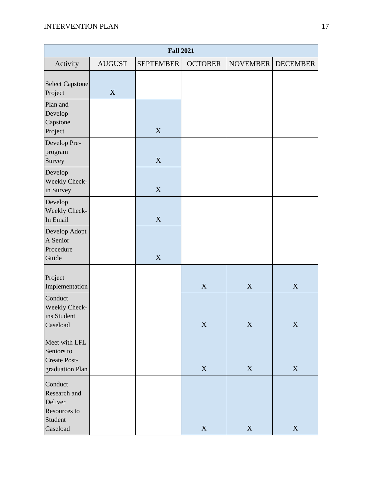|                                                                           |               | <b>Fall 2021</b> |                           |                 |                 |
|---------------------------------------------------------------------------|---------------|------------------|---------------------------|-----------------|-----------------|
| Activity                                                                  | <b>AUGUST</b> | <b>SEPTEMBER</b> | <b>OCTOBER</b>            | <b>NOVEMBER</b> | <b>DECEMBER</b> |
| <b>Select Capstone</b><br>Project                                         | X             |                  |                           |                 |                 |
| Plan and<br>Develop<br>Capstone<br>Project                                |               | X                |                           |                 |                 |
| Develop Pre-<br>program<br>Survey                                         |               | $\mathbf X$      |                           |                 |                 |
| Develop<br>Weekly Check-<br>in Survey                                     |               | X                |                           |                 |                 |
| Develop<br>Weekly Check-<br>In Email                                      |               | X                |                           |                 |                 |
| Develop Adopt<br>A Senior<br>Procedure<br>Guide                           |               | $\mathbf X$      |                           |                 |                 |
| Project<br>Implementation                                                 |               |                  | $\mathbf X$               | X               | X               |
| Conduct<br>Weekly Check-<br>ins Student<br>Caseload                       |               |                  | $\boldsymbol{\mathrm{X}}$ | X               | $\mathbf X$     |
| Meet with LFL<br>Seniors to<br>Create Post-<br>graduation Plan            |               |                  | $\mathbf X$               | X               | $\mathbf X$     |
| Conduct<br>Research and<br>Deliver<br>Resources to<br>Student<br>Caseload |               |                  | $\mathbf X$               | $\mathbf X$     | $\mathbf X$     |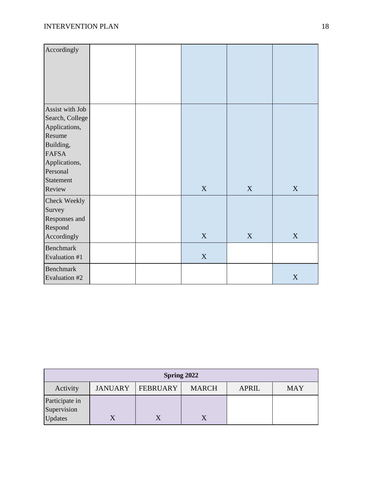| Accordingly      |  |             |   |             |
|------------------|--|-------------|---|-------------|
|                  |  |             |   |             |
|                  |  |             |   |             |
|                  |  |             |   |             |
|                  |  |             |   |             |
| Assist with Job  |  |             |   |             |
| Search, College  |  |             |   |             |
| Applications,    |  |             |   |             |
| Resume           |  |             |   |             |
| Building,        |  |             |   |             |
| <b>FAFSA</b>     |  |             |   |             |
| Applications,    |  |             |   |             |
| Personal         |  |             |   |             |
| Statement        |  |             |   |             |
| Review           |  | X           | X | X           |
| Check Weekly     |  |             |   |             |
| Survey           |  |             |   |             |
| Responses and    |  |             |   |             |
| Respond          |  |             |   |             |
| Accordingly      |  | $\mathbf X$ | X | X           |
| <b>Benchmark</b> |  |             |   |             |
| Evaluation #1    |  | $\mathbf X$ |   |             |
| <b>Benchmark</b> |  |             |   |             |
| Evaluation #2    |  |             |   | $\mathbf X$ |

|                                          |                |                 | Spring 2022  |              |            |
|------------------------------------------|----------------|-----------------|--------------|--------------|------------|
| Activity                                 | <b>JANUARY</b> | <b>FEBRUARY</b> | <b>MARCH</b> | <b>APRIL</b> | <b>MAY</b> |
| Participate in<br>Supervision<br>Updates |                |                 |              |              |            |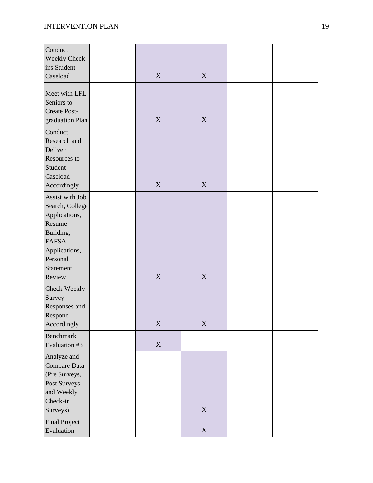| Conduct<br>Weekly Check-<br>ins Student<br>Caseload                                                                                            | X           | X                         |  |
|------------------------------------------------------------------------------------------------------------------------------------------------|-------------|---------------------------|--|
| Meet with LFL<br>Seniors to<br><b>Create Post-</b><br>graduation Plan                                                                          | X           | $\mathbf X$               |  |
| Conduct<br>Research and<br>Deliver<br>Resources to<br>Student<br>Caseload<br>Accordingly                                                       | X           | X                         |  |
| Assist with Job<br>Search, College<br>Applications,<br>Resume<br>Building,<br><b>FAFSA</b><br>Applications,<br>Personal<br>Statement<br>Review | X           | X                         |  |
| Check Weekly<br>Survey<br>Responses and<br>Respond<br>Accordingly                                                                              | $\mathbf X$ | $\mathbf X$               |  |
| <b>Benchmark</b><br>Evaluation #3                                                                                                              | $\mathbf X$ |                           |  |
| Analyze and<br>Compare Data<br>(Pre Surveys,<br>Post Surveys<br>and Weekly<br>Check-in<br>Surveys)                                             |             | $\mathbf X$               |  |
| <b>Final Project</b><br>Evaluation                                                                                                             |             | $\boldsymbol{\mathrm{X}}$ |  |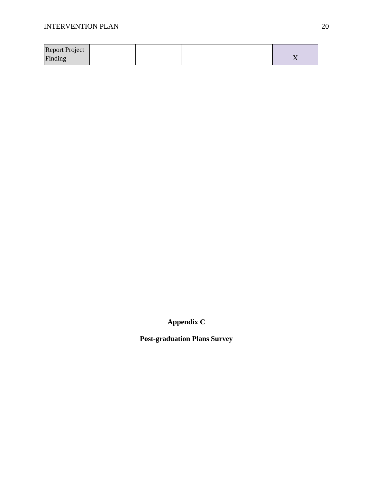| <b>Report Project</b> |  |  |  |
|-----------------------|--|--|--|
| Finding               |  |  |  |

**Appendix C**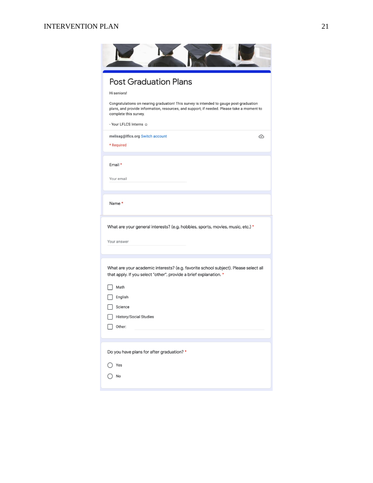### **INTERVENTION PLAN** 21

| <b>Post Graduation Plans</b>                                                                                                                                                                                   |
|----------------------------------------------------------------------------------------------------------------------------------------------------------------------------------------------------------------|
| Hi seniors!                                                                                                                                                                                                    |
| Congratulations on nearing graduation! This survey is intended to gauge post-graduation<br>plans, and provide information, resources, and support, if needed. Please take a moment to<br>complete this survey. |
| - Your LFLCS Interns @                                                                                                                                                                                         |
| melisag@lflcs.org Switch account<br>⊙<br>* Required                                                                                                                                                            |
| Email *                                                                                                                                                                                                        |
| Your email                                                                                                                                                                                                     |
| What are your general interests? (e.g. hobbies, sports, movies, music, etc.) *<br>Your answer                                                                                                                  |
| What are your academic interests? (e.g. favorite school subject). Please select all<br>that apply. If you select "other", provide a brief explanation. *                                                       |
| Math                                                                                                                                                                                                           |
| English                                                                                                                                                                                                        |
| Science<br><b>History/Social Studies</b>                                                                                                                                                                       |
| Other:                                                                                                                                                                                                         |
|                                                                                                                                                                                                                |
| Do you have plans for after graduation? *                                                                                                                                                                      |
| Yes                                                                                                                                                                                                            |
| No                                                                                                                                                                                                             |
|                                                                                                                                                                                                                |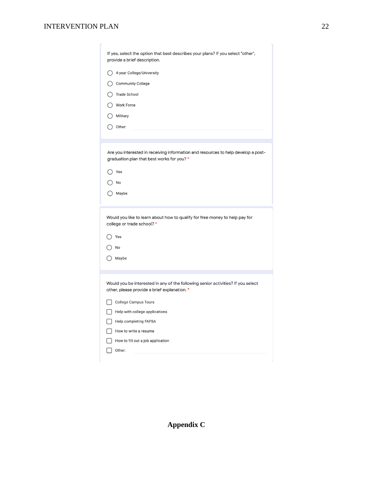### INTERVENTION PLAN 22

| If yes, select the option that best describes your plans? If you select "other",                                                |
|---------------------------------------------------------------------------------------------------------------------------------|
| provide a brief description.                                                                                                    |
| 4-year College/University                                                                                                       |
| <b>Community College</b>                                                                                                        |
| Trade School                                                                                                                    |
| Work Force                                                                                                                      |
| Military                                                                                                                        |
| Other:                                                                                                                          |
|                                                                                                                                 |
| Are you interested in receiving information and resources to help develop a post-<br>graduation plan that best works for you? * |
| Yes                                                                                                                             |
| No                                                                                                                              |
| Maybe                                                                                                                           |
| Would you like to learn about how to qualify for free money to help pay for                                                     |
| college or trade school?*                                                                                                       |
| Yes                                                                                                                             |
| No                                                                                                                              |
| Maybe                                                                                                                           |
| Would you be interested in any of the following senior activities? If you select                                                |
| other, please provide a brief explanation. *                                                                                    |
| <b>College Campus Tours</b>                                                                                                     |
| Help with college applications                                                                                                  |
| Help completing FAFSA                                                                                                           |
|                                                                                                                                 |
| How to write a resume<br>How to fill out a job application                                                                      |

**Appendix C**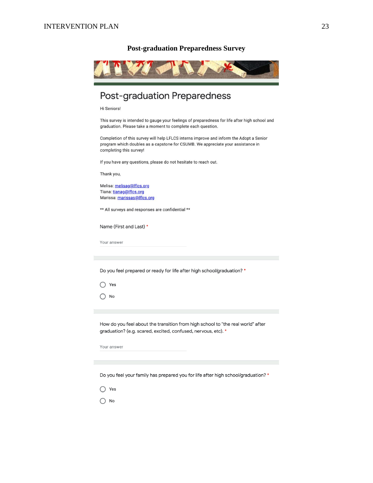#### **Post-graduation Preparedness Survey**



## **Post-graduation Preparedness**

Hi Seniors!

This survey is intended to gauge your feelings of preparedness for life after high school and graduation. Please take a moment to complete each question.

Completion of this survey will help LFLCS interns improve and inform the Adopt a Senior program which doubles as a capstone for CSUMB. We appreciate your assistance in completing this survey!

If you have any questions, please do not hesitate to reach out.

Thank you,

Melisa: melisag@lflcs.org Tiana: tianag@lflcs.org Marissa: marissas@lflcs.org

\*\* All surveys and responses are confidential \*\*

Name (First and Last) \*

Your answer

Do you feel prepared or ready for life after high school/graduation? \*

 $\bigcirc$  Yes

 $\bigcap$  No

How do you feel about the transition from high school to "the real world" after graduation? (e.g. scared, excited, confused, nervous, etc). \*

Your answer

Do you feel your family has prepared you for life after high school/graduation? \*

 $\bigcirc$  Yes

 $\bigcap$  No